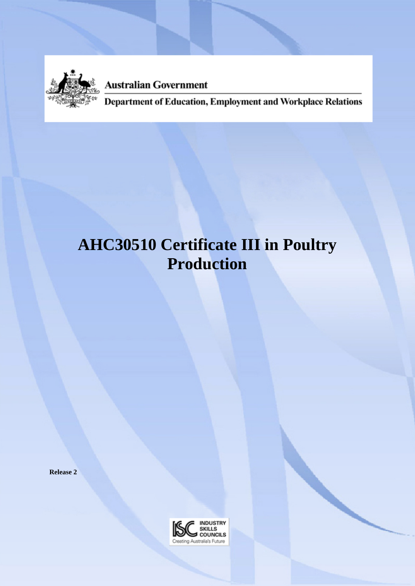

**Australian Government** 

Department of Education, Employment and Workplace Relations

# **AHC30510 Certificate III in Poultry Production**

**Release 2**

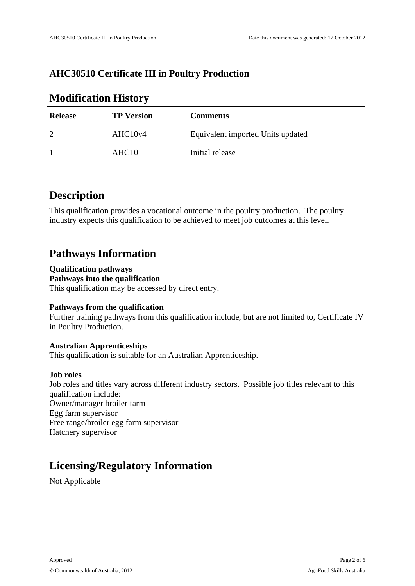## **AHC30510 Certificate III in Poultry Production**

## **Modification History**

| <b>Release</b> | <b>TP Version</b> | <b>Comments</b>                   |
|----------------|-------------------|-----------------------------------|
|                | AHC10v4           | Equivalent imported Units updated |
|                | AHC <sub>10</sub> | Initial release                   |

## **Description**

This qualification provides a vocational outcome in the poultry production. The poultry industry expects this qualification to be achieved to meet job outcomes at this level.

## **Pathways Information**

#### **Qualification pathways Pathways into the qualification**

This qualification may be accessed by direct entry.

#### **Pathways from the qualification**

Further training pathways from this qualification include, but are not limited to, Certificate IV in Poultry Production.

#### **Australian Apprenticeships**

This qualification is suitable for an Australian Apprenticeship.

#### **Job roles**

Job roles and titles vary across different industry sectors. Possible job titles relevant to this qualification include: Owner/manager broiler farm Egg farm supervisor Free range/broiler egg farm supervisor Hatchery supervisor

## **Licensing/Regulatory Information**

Not Applicable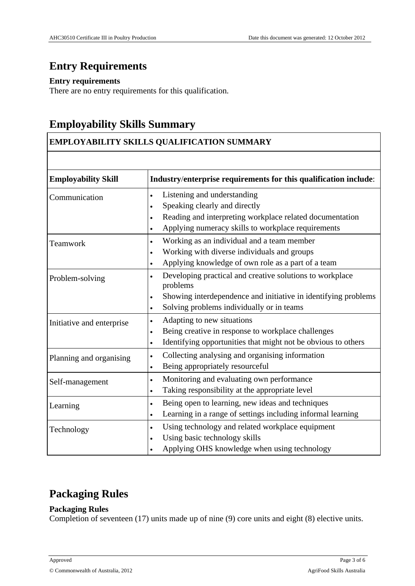# **Entry Requirements**

#### **Entry requirements**

There are no entry requirements for this qualification.

## **Employability Skills Summary**

#### **EMPLOYABILITY SKILLS QUALIFICATION SUMMARY**

| <b>Employability Skill</b> | Industry/enterprise requirements for this qualification include:                  |
|----------------------------|-----------------------------------------------------------------------------------|
| Communication              | Listening and understanding<br>$\bullet$                                          |
|                            | Speaking clearly and directly<br>$\bullet$                                        |
|                            | Reading and interpreting workplace related documentation<br>$\bullet$             |
|                            | Applying numeracy skills to workplace requirements<br>$\bullet$                   |
| Teamwork                   | Working as an individual and a team member<br>$\bullet$                           |
|                            | Working with diverse individuals and groups<br>$\bullet$                          |
|                            | Applying knowledge of own role as a part of a team<br>$\bullet$                   |
| Problem-solving            | Developing practical and creative solutions to workplace<br>$\bullet$<br>problems |
|                            | Showing interdependence and initiative in identifying problems<br>$\bullet$       |
|                            | Solving problems individually or in teams<br>$\bullet$                            |
| Initiative and enterprise  | Adapting to new situations<br>$\bullet$                                           |
|                            | Being creative in response to workplace challenges<br>$\bullet$                   |
|                            | Identifying opportunities that might not be obvious to others<br>$\bullet$        |
| Planning and organising    | Collecting analysing and organising information<br>$\bullet$                      |
|                            | Being appropriately resourceful<br>$\bullet$                                      |
| Self-management            | Monitoring and evaluating own performance<br>$\bullet$                            |
|                            | Taking responsibility at the appropriate level<br>$\bullet$                       |
| Learning                   | Being open to learning, new ideas and techniques<br>$\bullet$                     |
|                            | Learning in a range of settings including informal learning<br>$\bullet$          |
| Technology                 | Using technology and related workplace equipment<br>$\bullet$                     |
|                            | Using basic technology skills<br>$\bullet$                                        |
|                            | Applying OHS knowledge when using technology                                      |

# **Packaging Rules**

#### **Packaging Rules**

Completion of seventeen (17) units made up of nine (9) core units and eight (8) elective units.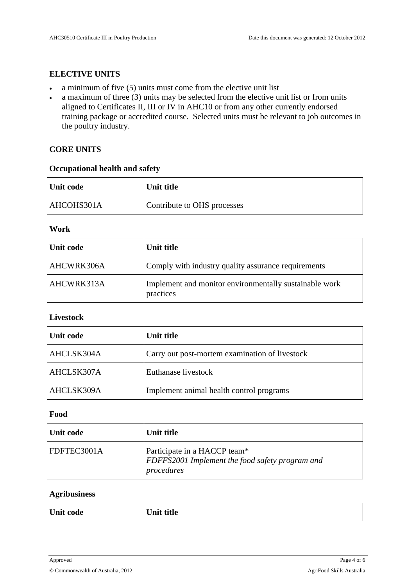#### **ELECTIVE UNITS**

- a minimum of five (5) units must come from the elective unit list
- $\bullet$  a maximum of three (3) units may be selected from the elective unit list or from units aligned to Certificates II, III or IV in AHC10 or from any other currently endorsed training package or accredited course. Selected units must be relevant to job outcomes in the poultry industry.

#### **CORE UNITS**

#### **Occupational health and safety**

| Unit code  | Unit title                  |
|------------|-----------------------------|
| AHCOHS301A | Contribute to OHS processes |

#### **Work**

| Unit code         | Unit title                                                          |
|-------------------|---------------------------------------------------------------------|
| <b>AHCWRK306A</b> | Comply with industry quality assurance requirements                 |
| AHCWRK313A        | Implement and monitor environmentally sustainable work<br>practices |

#### **Livestock**

| Unit code         | Unit title                                     |
|-------------------|------------------------------------------------|
| AHCLSK304A        | Carry out post-mortem examination of livestock |
| AHCLSK307A        | Euthanase livestock                            |
| <b>AHCLSK309A</b> | Implement animal health control programs       |

#### **Food**

| Unit code   | Unit title                                                                                            |
|-------------|-------------------------------------------------------------------------------------------------------|
| FDFTEC3001A | Participate in a HACCP team*<br><b>FDFFS2001</b> Implement the food safety program and<br> procedures |

#### **Agribusiness**

| Unit code | $\overline{\phantom{a}}$ and the $\overline{\phantom{a}}$ |
|-----------|-----------------------------------------------------------|
|           |                                                           |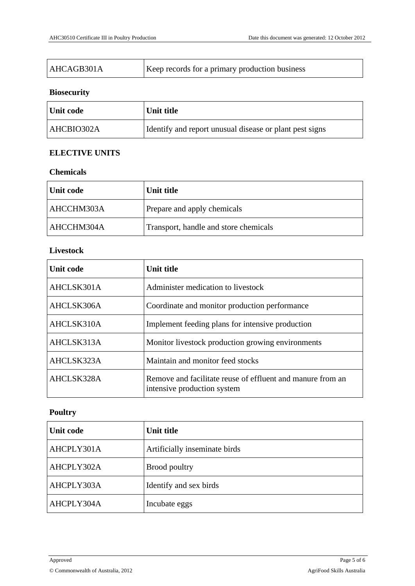| AHCAGB301A | Keep records for a primary production business |
|------------|------------------------------------------------|
|            |                                                |

#### **Biosecurity**

| Unit code  | Unit title                                              |
|------------|---------------------------------------------------------|
| AHCBIO302A | Identify and report unusual disease or plant pest signs |

#### **ELECTIVE UNITS**

#### **Chemicals**

| Unit code  | Unit title                            |
|------------|---------------------------------------|
| AHCCHM303A | Prepare and apply chemicals           |
| AHCCHM304A | Transport, handle and store chemicals |

#### **Livestock**

| <b>Unit code</b> | Unit title                                                                                |
|------------------|-------------------------------------------------------------------------------------------|
| AHCLSK301A       | Administer medication to livestock                                                        |
| AHCLSK306A       | Coordinate and monitor production performance                                             |
| AHCLSK310A       | Implement feeding plans for intensive production                                          |
| AHCLSK313A       | Monitor livestock production growing environments                                         |
| AHCLSK323A       | Maintain and monitor feed stocks                                                          |
| AHCLSK328A       | Remove and facilitate reuse of effluent and manure from an<br>intensive production system |

### **Poultry**

| <b>Unit code</b> | Unit title                    |
|------------------|-------------------------------|
| AHCPLY301A       | Artificially inseminate birds |
| AHCPLY302A       | Brood poultry                 |
| AHCPLY303A       | Identify and sex birds        |
| AHCPLY304A       | Incubate eggs                 |